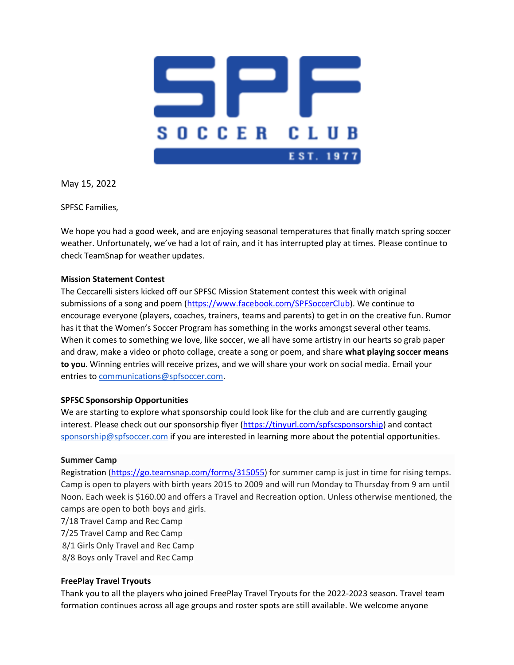

May 15, 2022

SPFSC Families,

We hope you had a good week, and are enjoying seasonal temperatures that finally match spring soccer weather. Unfortunately, we've had a lot of rain, and it has interrupted play at times. Please continue to check TeamSnap for weather updates.

## **Mission Statement Contest**

The Ceccarelli sisters kicked off our SPFSC Mission Statement contest this week with original submissions of a song and poem (https://www.facebook.com/SPFSoccerClub). We continue to encourage everyone (players, coaches, trainers, teams and parents) to get in on the creative fun. Rumor has it that the Women's Soccer Program has something in the works amongst several other teams. When it comes to something we love, like soccer, we all have some artistry in our hearts so grab paper and draw, make a video or photo collage, create a song or poem, and share **what playing soccer means to you**. Winning entries will receive prizes, and we will share your work on social media. Email your entries to communications@spfsoccer.com.

## **SPFSC Sponsorship Opportunities**

We are starting to explore what sponsorship could look like for the club and are currently gauging interest. Please check out our sponsorship flyer (https://tinyurl.com/spfscsponsorship) and contact sponsorship@spfsoccer.com if you are interested in learning more about the potential opportunities.

## **Summer Camp**

Registration (https://go.teamsnap.com/forms/315055) for summer camp is just in time for rising temps. Camp is open to players with birth years 2015 to 2009 and will run Monday to Thursday from 9 am until Noon. Each week is \$160.00 and offers a Travel and Recreation option. Unless otherwise mentioned, the camps are open to both boys and girls.

- 7/18 Travel Camp and Rec Camp 7/25 Travel Camp and Rec Camp 8/1 Girls Only Travel and Rec Camp
- 8/8 Boys only Travel and Rec Camp

## **FreePlay Travel Tryouts**

Thank you to all the players who joined FreePlay Travel Tryouts for the 2022-2023 season. Travel team formation continues across all age groups and roster spots are still available. We welcome anyone